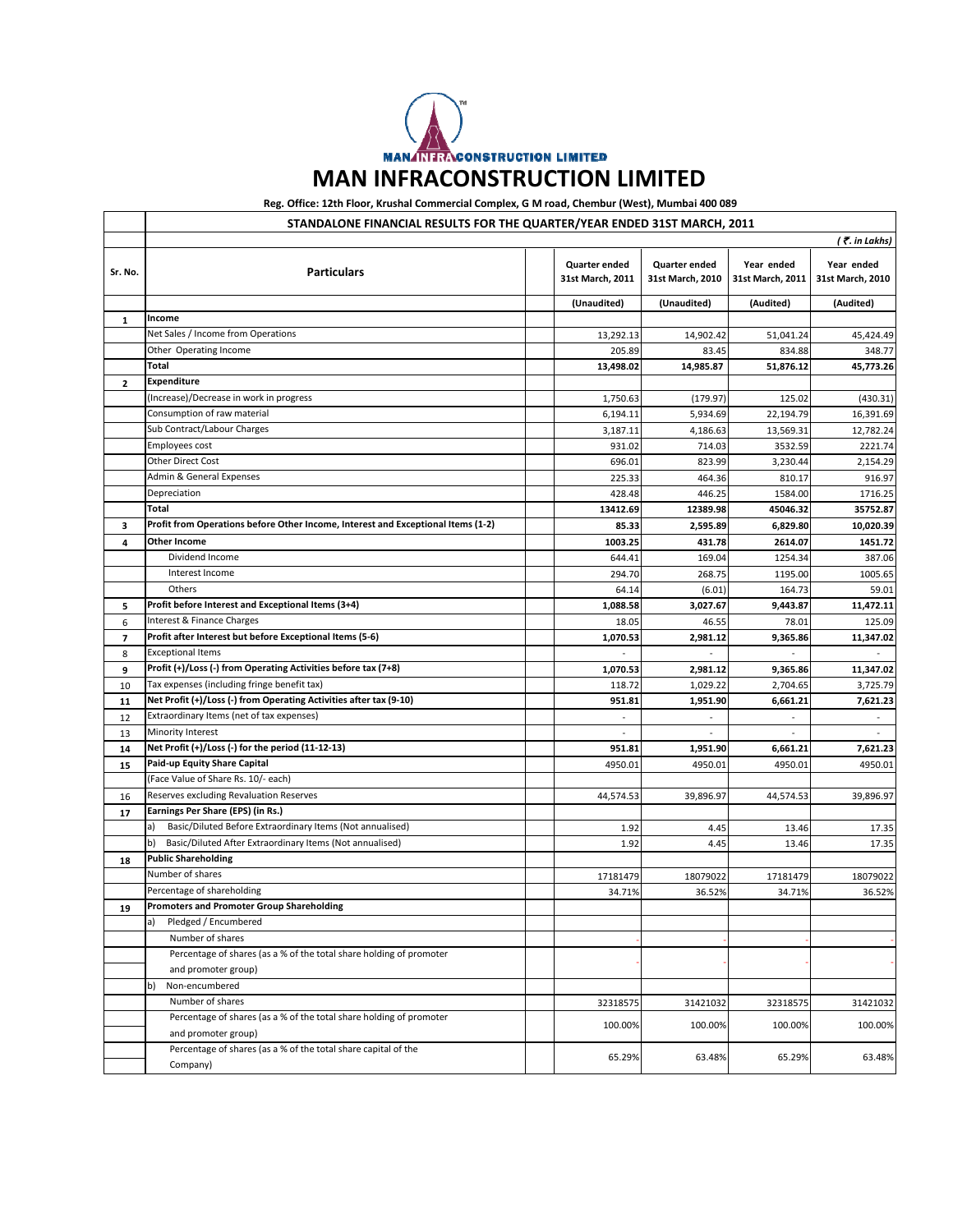

## **Reg. Office: 12th Floor, Krushal Commercial Complex, G M road, Chembur (West), Mumbai 400 089**

## Sr. No. **Particulars Particulars Particulars Particulars Particulars Particulars Particulars Particulars Particulars Particulars Particulars Particulars Particulars Particulars Particulars Par 31st March, 2011 Quarter ended 31st March, 2010 Year ended 31st March, 2011 Year ended 31st March, 2010 (Unaudited) (Unaudited) (Audited) (Audited) 1 Income** Net Sales / Income from Operations 13,292.13 14,902.42 51,041.24 45,424.49 Other Operating Income 205.89 83.45 834.88 348.77 **Total 13,498.02 14,985.87 51,876.12 45,773.26 2 Expenditure** (Increase)/Decrease in work in progress 1,750.63 (179.97) 125.02 (430.31) Consumption of raw material 16,391.69 16,394.69 16,394.69 16,394.69 22,194.79 16,391.69 Sub Contract/Labour Charges 20221.74 12,782.24<br>
Employees cost 3532.59 2221.74 2221.74 2221.74 2221.74 Employees cost 931.02 714.03 3532.59 2221.74 Other Direct Cost 696.01 823.99 3,230.44 2,154.29 Admin & General Expenses 225.33 464.36 810.17 916.97 Depreciation 428.48 446.25 1584.00 1716.25 **Total 13412.69 12389.98 45046.32 35752.87 3 Profit from Operations before Other Income, Interest and Exceptional Items (1‐2) 85.33 2,595.89 6,829.80 10,020.39 4 Other Income 1003.25 431.78 2614.07 1451.72** Dividend Income 644.41 169.04 1254.34 387.06 Interest Income 294.70 294.70 268.75 268.75 1195.00 1005.65 **STANDALONE FINANCIAL RESULTS FOR THE QUARTER/YEAR ENDED 31ST MARCH, 2011** *(* ` *. in Lakhs)* 11295.001 11295.00 1005.65 nterest income<br>294.70 268.75 1195.00 1005.65<br>2011 0164.14 (6.01) 164.73 59.01 **5 Profit before Interest and Exceptional Items (3+4) 1,088.58 3,027.67 9,443.87 11,472.11** 6 Interest & Finance Charges 2018 125.09 125.09 125.09 125.09 125.09 125.09 125.09 125.09 125.09 125.09 125.09 **7 Profit after Interest but before Exceptional Items (5‐6) 1,070.53 2,981.12 9,365.86 11,347.02**  $8$   $[{\rm Exception}$   $]$   ${\rm Hence}$   ${\rm p}$   ${\rm to}$   ${\rm p}$   ${\rm s}$   ${\rm s}$   ${\rm s}$   ${\rm s}$   ${\rm s}$   ${\rm s}$   ${\rm s}$   ${\rm s}$   ${\rm s}$   ${\rm s}$   ${\rm s}$   ${\rm s}$   ${\rm s}$   ${\rm s}$   ${\rm s}$   ${\rm s}$   ${\rm s}$   ${\rm s}$   ${\rm s}$   ${\rm s}$   ${\rm s}$   ${\rm s}$   ${\rm s}$   ${\rm s}$   ${\rm s}$   ${\$ **9 Profit (+)/Loss (‐) from Operating Activities before tax (7+8) 1,070.53 2,981.12 9,365.86 11,347.02** 10 Tax expenses (including fringe benefit tax) 118.72 1,029.22 2,704.65 3,725.79 1,029.22 **11 Net Profit (+)/Loss (‐) from Operating Activities after tax (9‐10) 951.81 1,951.90 6,661.21 7,621.23** 12 Extraordinary Items (net of tax expenses) **12 Extraordinary Items** (net of tax expenses) 13 Minority Interest **1998 12 Aprovement** the contract of the contract of the contract of the contract of the contract of the contract of the contract of the contract of the contract of the contract of the contract of t **14 Net Profit (+)/Loss (‐) for the period (11‐12‐13) 951.81 1,951.90 6,661.21 7,621.23 15 Paid‐up Equity Share Capital** 4950.01 4950.01 4950.01 4950.01 (Face Value of Share Rs. 10/‐ each) 16 Reserves excluding Revaluation Reserves 44,574.53 44,574.53 44,574.53 44,574.53 44,574.53 39,896.97 **17 Earnings Per Share (EPS) (in Rs.)** a) Basic/Diluted Before Extraordinary Items (Not annualised) 1.92 4.45 13.46 17.35 b) Basic/Diluted After Extraordinary Items (Not annualised) 1.92 4.45 13.46 17.35 **18 Public Shareholding** Number of shares 17181479 18079022 17181479 18079022 Percentage of shareholding 36.52% 34.71% 36.52% 34.71% 36.52% 34.71% 36.52% 34.71% 36.52% 34.71% 36.52% 34.71% 36.52% 34.71% 36.52% 34.71% 36.52% 34.71% 36.52% 34.71% 36.52% 34.71% 36.52% 34.71% 36.52% 34.71% 36.52% 35.52% **19 Promoters and Promoter Group Shareholding** a) Pledged / Encumbered Number of shares ‐ ‐‐ ‐ Percentage of shares (as a % of the total share holding of promoter and promoter group) b) Non-encumbered Number of shares 31421032 32318575 31421032 32318575 31421032 32318575 31421032 32318575 31421032 Percentage of shares (as a % of the total share holding of promoter and promoter group) Percentage of shares (as a % of the total share capital of the Company) 63.48% インティー インティー・インティー 100.00% 100.00% 100.00% 100.00% 65.29% 63.48% 65.29%